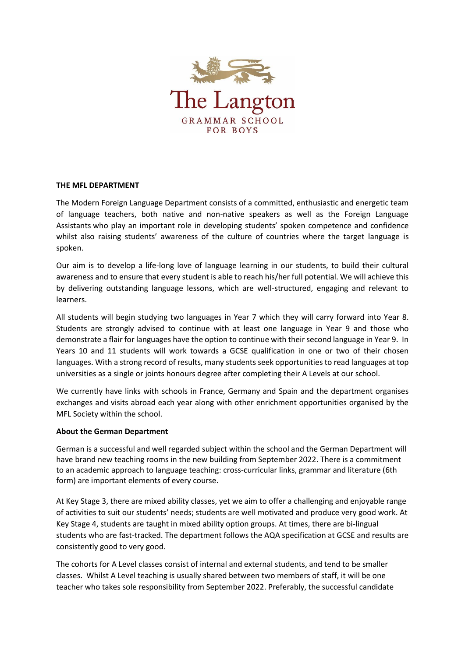

## **THE MFL DEPARTMENT**

The Modern Foreign Language Department consists of a committed, enthusiastic and energetic team of language teachers, both native and non-native speakers as well as the Foreign Language Assistants who play an important role in developing students' spoken competence and confidence whilst also raising students' awareness of the culture of countries where the target language is spoken.

Our aim is to develop a life-long love of language learning in our students, to build their cultural awareness and to ensure that every student is able to reach his/her full potential. We will achieve this by delivering outstanding language lessons, which are well-structured, engaging and relevant to learners.

All students will begin studying two languages in Year 7 which they will carry forward into Year 8. Students are strongly advised to continue with at least one language in Year 9 and those who demonstrate a flair for languages have the option to continue with their second language in Year 9. In Years 10 and 11 students will work towards a GCSE qualification in one or two of their chosen languages. With a strong record of results, many students seek opportunities to read languages at top universities as a single or joints honours degree after completing their A Levels at our school.

We currently have links with schools in France, Germany and Spain and the department organises exchanges and visits abroad each year along with other enrichment opportunities organised by the MFL Society within the school.

## **About the German Department**

German is a successful and well regarded subject within the school and the German Department will have brand new teaching rooms in the new building from September 2022. There is a commitment to an academic approach to language teaching: cross-curricular links, grammar and literature (6th form) are important elements of every course.

At Key Stage 3, there are mixed ability classes, yet we aim to offer a challenging and enjoyable range of activities to suit our students' needs; students are well motivated and produce very good work. At Key Stage 4, students are taught in mixed ability option groups. At times, there are bi-lingual students who are fast-tracked. The department follows the AQA specification at GCSE and results are consistently good to very good.

The cohorts for A Level classes consist of internal and external students, and tend to be smaller classes. Whilst A Level teaching is usually shared between two members of staff, it will be one teacher who takes sole responsibility from September 2022. Preferably, the successful candidate